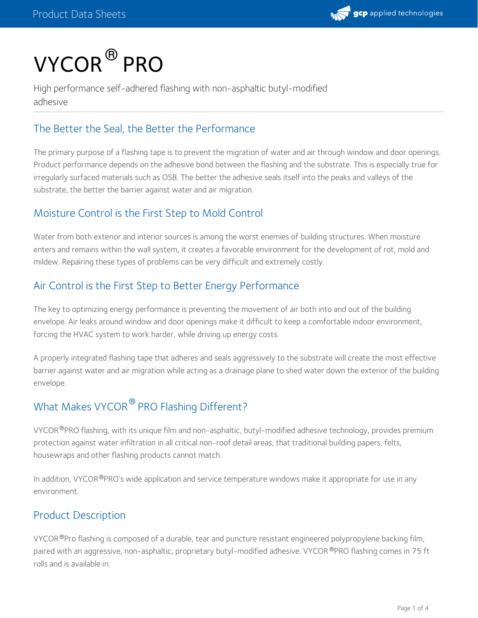

# $\mathsf{VYCOR}^{\circledR} \mathsf{PRO}$

High performance self-adhered flashing with non-asphaltic butyl-modified adhesive

# The Better the Seal, the Better the Performance

The primary purpose of a flashing tape is to prevent the migration of water and air through window and door openings. Product performance depends on the adhesive bond between the flashing and the substrate. This is especially true for irregularly surfaced materials such as OSB. The better the adhesive seals itself into the peaks and valleys of the substrate, the better the barrier against water and air migration.

# Moisture Control is the First Step to Mold Control

Water from both exterior and interior sources is among the worst enemies of building structures. When moisture enters and remains within the wall system, it creates a favorable environment for the development of rot, mold and mildew. Repairing these types of problems can be very difficult and extremely costly.

# Air Control is the First Step to Better Energy Performance

The key to optimizing energy performance is preventing the movement of air both into and out of the building envelope. Air leaks around window and door openings make it difficult to keep a comfortable indoor environment, forcing the HVAC system to work harder, while driving up energy costs.

A properly integrated flashing tape that adheres and seals aggressively to the substrate will create the most effective barrier against water and air migration while acting as a drainage plane to shed water down the exterior of the building envelope.

# What Makes VYCOR<sup>®</sup> PRO Flashing Different?

VYCOR®PRO flashing, with its unique film and non-asphaltic, butyl-modified adhesive technology, provides premium protection against water infiltration in all critical non-roof detail areas, that traditional building papers, felts, housewraps and other flashing products cannot match.

In addition, VYCOR®PRO's wide application and service temperature windows make it appropriate for use in any environment.

## Product Description

VYCOR®Pro flashing is composed of a durable, tear and puncture resistant engineered polypropylene backing film, paired with an aggressive, non-asphaltic, proprietary butyl-modified adhesive. VYCOR®PRO flashing comes in 75 ft rolls and is available in: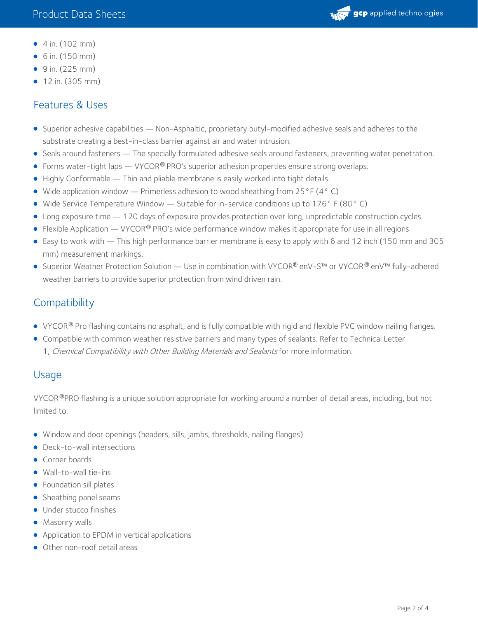

- $\bullet$  4 in. (102 mm)
- 6 in. (150 mm)
- 9 in. (225 mm)
- 12 in. (305 mm)

#### Features & Uses

- Superior adhesive capabilities Non-Asphaltic, proprietary butyl-modified adhesive seals and adheres to the substrate creating a best-in-class barrier against air and water intrusion.
- Seals around fasteners The specially formulated adhesive seals around fasteners, preventing water penetration.
- Forms water-tight laps VYCOR<sup>®</sup> PRO's superior adhesion properties ensure strong overlaps.
- Highly Conformable Thin and pliable membrane is easily worked into tight details.
- $\bullet$  Wide application window Primerless adhesion to wood sheathing from 25°F (4° C)
- Wide Service Temperature Window Suitable for in-service conditions up to 176° F (80° C)
- Long exposure time 120 days of exposure provides protection over long, unpredictable construction cycles
- $\bullet$  Flexible Application VYCOR® PRO's wide performance window makes it appropriate for use in all regions
- Easy to work with This high performance barrier membrane is easy to apply with 6 and 12 inch (150 mm and 305 mm) measurement markings.
- Superior Weather Protection Solution Use in combination with VYCOR® enV-S™ or VYCOR® enV™ fully-adhered weather barriers to provide superior protection from wind driven rain.

#### **Compatibility**

- VYCOR® Pro flashing contains no asphalt, and is fully compatible with rigid and flexible PVC window nailing flanges.
- Compatible with common weather resistive barriers and many types of sealants. Refer to Technical Letter 1, Chemical Compatibility with Other Building Materials and Sealants for more information.

#### Usage

VYCOR®PRO flashing is a unique solution appropriate for working around a number of detail areas, including, but not limited to:

- Window and door openings (headers, sills, jambs, thresholds, nailing flanges)
- Deck-to-wall intersections
- Corner boards
- Wall-to-wall tie-ins
- $\bullet$  Foundation sill plates
- Sheathing panel seams
- **·** Under stucco finishes
- Masonry walls
- Application to EPDM in vertical applications
- Other non-roof detail areas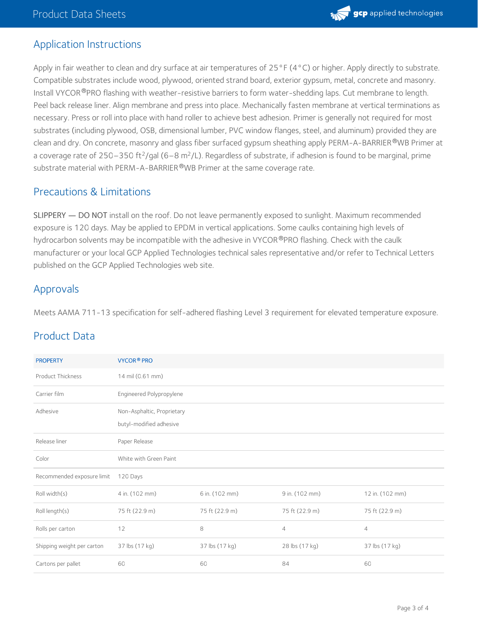

#### Application Instructions

Apply in fair weather to clean and dry surface at air temperatures of 25°F (4°C) or higher. Apply directly to substrate. Compatible substrates include wood, plywood, oriented strand board, exterior gypsum, metal, concrete and masonry. Install VYCOR®PRO flashing with weather-resistive barriers to form water-shedding laps. Cut membrane to length. Peel back release liner. Align membrane and press into place. Mechanically fasten membrane at vertical terminations as necessary. Press or roll into place with hand roller to achieve best adhesion. Primer is generally not required for most substrates (including plywood, OSB, dimensional lumber, PVC window flanges, steel, and aluminum) provided they are clean and dry. On concrete, masonry and glass fiber surfaced gypsum sheathing apply PERM-A-BARRIER®WB Primer at a coverage rate of 250–350 ft<sup>2</sup>/gal (6–8 m<sup>2</sup>/L). Regardless of substrate, if adhesion is found to be marginal, prime substrate material with PERM-A-BARRIER®WB Primer at the same coverage rate.

#### Precautions & Limitations

SLIPPERY — DO NOT install on the roof. Do not leave permanently exposed to sunlight. Maximum recommended exposure is 120 days. May be applied to EPDM in vertical applications. Some caulks containing high levels of hydrocarbon solvents may be incompatible with the adhesive in VYCOR®PRO flashing. Check with the caulk manufacturer or your local GCP Applied Technologies technical sales representative and/or refer to Technical Letters published on the GCP Applied Technologies web site.

#### Approvals

Meets AAMA 711-13 specification for self-adhered flashing Level 3 requirement for elevated temperature exposure.

#### Product Data

| <b>PROPERTY</b>            | <b>VYCOR® PRO</b>                                     |                |                |                 |
|----------------------------|-------------------------------------------------------|----------------|----------------|-----------------|
| Product Thickness          | 14 mil (0.61 mm)                                      |                |                |                 |
| Carrier film               | Engineered Polypropylene                              |                |                |                 |
| Adhesive                   | Non-Asphaltic, Proprietary<br>butyl-modified adhesive |                |                |                 |
| Release liner              | Paper Release                                         |                |                |                 |
| Color                      | White with Green Paint                                |                |                |                 |
| Recommended exposure limit | 120 Days                                              |                |                |                 |
| Roll width(s)              | 4 in. (102 mm)                                        | 6 in. (102 mm) | 9 in. (102 mm) | 12 in. (102 mm) |
| Roll length(s)             | 75 ft (22.9 m)                                        | 75 ft (22.9 m) | 75 ft (22.9 m) | 75 ft (22.9 m)  |
| Rolls per carton           | 12                                                    | 8              | $\overline{4}$ | $\overline{4}$  |
| Shipping weight per carton | 37 lbs (17 kg)                                        | 37 lbs (17 kg) | 28 lbs (17 kg) | 37 lbs (17 kg)  |
| Cartons per pallet         | 60                                                    | 60             | 84             | 60              |